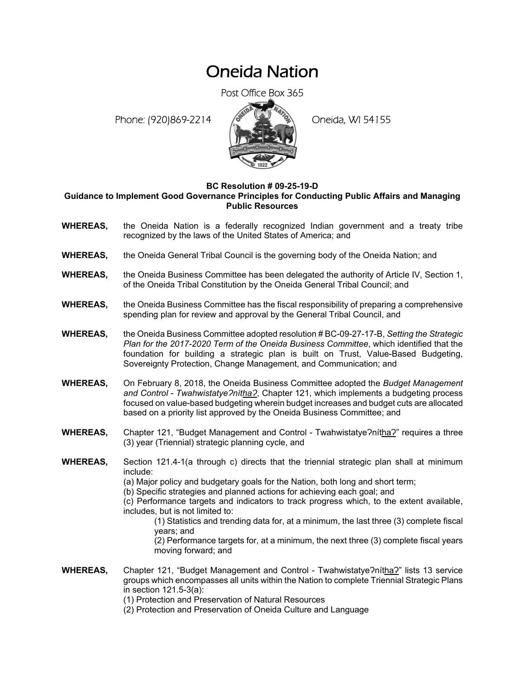## Oneida Nation

Post Office Box 365

Phone: (920)869-2214 (8 April 2) Oneida, WI 54155



## **BC Resolution # 09-25-19-D**

**Guidance to Implement Good Governance Principles for Conducting Public Affairs and Managing Public Resources** 

- **WHEREAS,** the Oneida Nation is a federally recognized Indian government and a treaty tribe recognized by the laws of the United States of America; and
- **WHEREAS,** the Oneida General Tribal Council is the governing body of the Oneida Nation; and
- **WHEREAS,** the Oneida Business Committee has been delegated the authority of Article IV, Section 1, of the Oneida Tribal Constitution by the Oneida General Tribal Council; and
- **WHEREAS,** the Oneida Business Committee has the fiscal responsibility of preparing a comprehensive spending plan for review and approval by the General Tribal Council, and
- **WHEREAS,** the Oneida Business Committee adopted resolution # BC-09-27-17-B, *Setting the Strategic Plan for the 2017-2020 Term of the Oneida Business Committee*, which identified that the foundation for building a strategic plan is built on Trust, Value-Based Budgeting, Sovereignty Protection, Change Management, and Communication; and
- **WHEREAS,** On February 8, 2018, the Oneida Business Committee adopted the *Budget Management*  and Control - Twahwistatye?nítha?, Chapter 121, which implements a budgeting process focused on value-based budgeting wherein budget increases and budget cuts are allocated based on a priority list approved by the Oneida Business Committee; and
- **WHEREAS,** Chapter 121, "Budget Management and Control Twahwistatye?nítha?" requires a three (3) year (Triennial) strategic planning cycle, and
- **WHEREAS,** Section 121.4-1(a through c) directs that the triennial strategic plan shall at minimum include:
	- (a) Major policy and budgetary goals for the Nation, both long and short term;
	- (b) Specific strategies and planned actions for achieving each goal; and

(c) Performance targets and indicators to track progress which, to the extent available, includes, but is not limited to:

(1) Statistics and trending data for, at a minimum, the last three (3) complete fiscal years; and

(2) Performance targets for, at a minimum, the next three (3) complete fiscal years moving forward; and

- **WHEREAS,** Chapter 121, "Budget Management and Control Twahwistatye?nitha?" lists 13 service groups which encompasses all units within the Nation to complete Triennial Strategic Plans in section 121.5-3(a):
	- (1) Protection and Preservation of Natural Resources
	- (2) Protection and Preservation of Oneida Culture and Language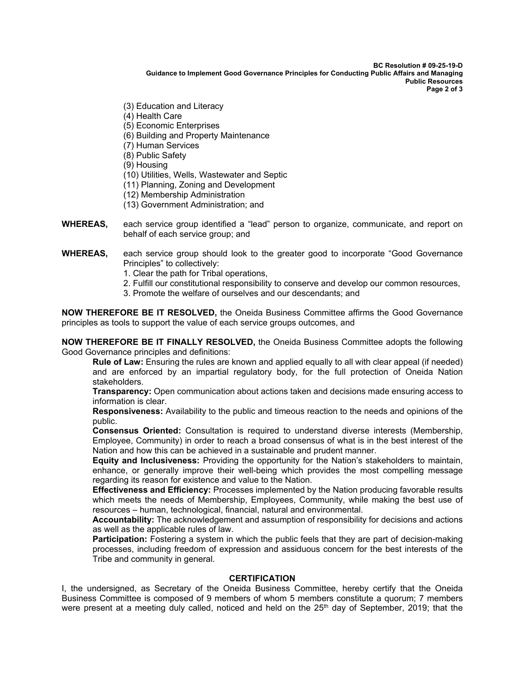**BC Resolution # 09-25-19-D Guidance to Implement Good Governance Principles for Conducting Public Affairs and Managing Public Resources Page 2 of 3** 

- (3) Education and Literacy
- (4) Health Care
- (5) Economic Enterprises
- (6) Building and Property Maintenance
- (7) Human Services
- (8) Public Safety
- (9) Housing
- (10) Utilities, Wells, Wastewater and Septic
- (11) Planning, Zoning and Development
- (12) Membership Administration
- (13) Government Administration; and
- **WHEREAS,** each service group identified a "lead" person to organize, communicate, and report on behalf of each service group; and
- WHEREAS, each service group should look to the greater good to incorporate "Good Governance Principles" to collectively:
	- 1. Clear the path for Tribal operations,
	- 2. Fulfill our constitutional responsibility to conserve and develop our common resources,
	- 3. Promote the welfare of ourselves and our descendants; and

**NOW THEREFORE BE IT RESOLVED,** the Oneida Business Committee affirms the Good Governance principles as tools to support the value of each service groups outcomes, and

**NOW THEREFORE BE IT FINALLY RESOLVED,** the Oneida Business Committee adopts the following Good Governance principles and definitions:

**Rule of Law:** Ensuring the rules are known and applied equally to all with clear appeal (if needed) and are enforced by an impartial regulatory body, for the full protection of Oneida Nation stakeholders.

**Transparency:** Open communication about actions taken and decisions made ensuring access to information is clear.

**Responsiveness:** Availability to the public and timeous reaction to the needs and opinions of the public.

**Consensus Oriented:** Consultation is required to understand diverse interests (Membership, Employee, Community) in order to reach a broad consensus of what is in the best interest of the Nation and how this can be achieved in a sustainable and prudent manner.

**Equity and Inclusiveness:** Providing the opportunity for the Nation's stakeholders to maintain, enhance, or generally improve their well-being which provides the most compelling message regarding its reason for existence and value to the Nation.

**Effectiveness and Efficiency:** Processes implemented by the Nation producing favorable results which meets the needs of Membership, Employees, Community, while making the best use of resources – human, technological, financial, natural and environmental.

**Accountability:** The acknowledgement and assumption of responsibility for decisions and actions as well as the applicable rules of law.

**Participation:** Fostering a system in which the public feels that they are part of decision-making processes, including freedom of expression and assiduous concern for the best interests of the Tribe and community in general.

## **CERTIFICATION**

I, the undersigned, as Secretary of the Oneida Business Committee, hereby certify that the Oneida Business Committee is composed of 9 members of whom 5 members constitute a quorum; 7 members were present at a meeting duly called, noticed and held on the  $25<sup>th</sup>$  day of September, 2019; that the